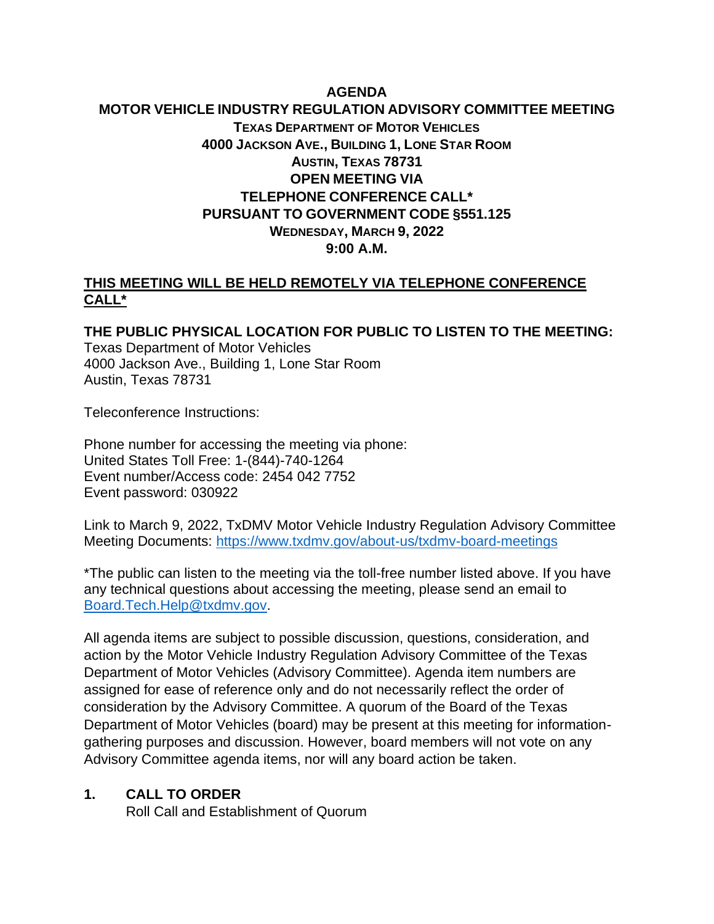# **AGENDA MOTOR VEHICLE INDUSTRY REGULATION ADVISORY COMMITTEE MEETING TEXAS DEPARTMENT OF MOTOR VEHICLES 4000 JACKSON AVE., BUILDING 1, LONE STAR ROOM AUSTIN, TEXAS 78731 OPEN MEETING VIA TELEPHONE CONFERENCE CALL\* PURSUANT TO GOVERNMENT CODE §551.125 WEDNESDAY, MARCH 9, 2022 9:00 A.M.**

### **THIS MEETING WILL BE HELD REMOTELY VIA TELEPHONE CONFERENCE CALL\***

**THE PUBLIC PHYSICAL LOCATION FOR PUBLIC TO LISTEN TO THE MEETING:** Texas Department of Motor Vehicles 4000 Jackson Ave., Building 1, Lone Star Room Austin, Texas 78731

Teleconference Instructions:

Phone number for accessing the meeting via phone: United States Toll Free: 1-(844)-740-1264 Event number/Access code: 2454 042 7752 Event password: 030922

Link to March 9, 2022, TxDMV Motor Vehicle Industry Regulation Advisory Committee Meeting Documents:<https://www.txdmv.gov/about-us/txdmv-board-meetings>

\*The public can listen to the meeting via the toll-free number listed above. If you have any technical questions about accessing the meeting, please send an email to [Board.Tech.Help@txdmv.gov.](mailto:Board.Tech.Help@txdmv.gov.)

All agenda items are subject to possible discussion, questions, consideration, and action by the Motor Vehicle Industry Regulation Advisory Committee of the Texas Department of Motor Vehicles (Advisory Committee). Agenda item numbers are assigned for ease of reference only and do not necessarily reflect the order of consideration by the Advisory Committee. A quorum of the Board of the Texas Department of Motor Vehicles (board) may be present at this meeting for informationgathering purposes and discussion. However, board members will not vote on any Advisory Committee agenda items, nor will any board action be taken.

#### **1. CALL TO ORDER**

Roll Call and Establishment of Quorum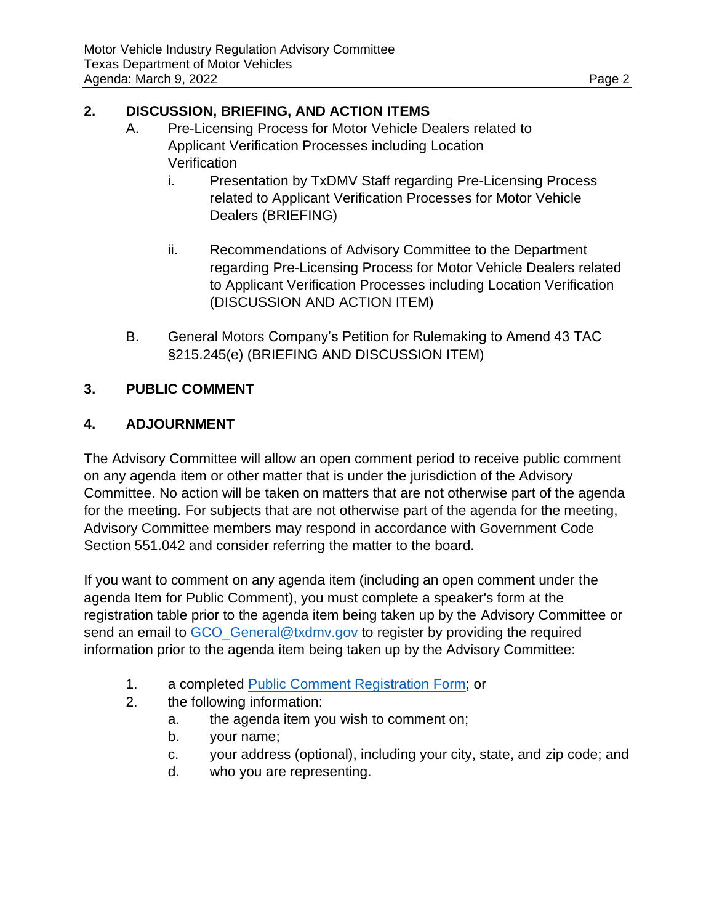### **2. DISCUSSION, BRIEFING, AND ACTION ITEMS**

- A. Pre-Licensing Process for Motor Vehicle Dealers related to Applicant Verification Processes including Location **Verification** 
	- i. Presentation by TxDMV Staff regarding Pre-Licensing Process related to Applicant Verification Processes for Motor Vehicle Dealers (BRIEFING)
	- ii. Recommendations of Advisory Committee to the Department regarding Pre-Licensing Process for Motor Vehicle Dealers related to Applicant Verification Processes including Location Verification (DISCUSSION AND ACTION ITEM)
- B. General Motors Company's Petition for Rulemaking to Amend 43 TAC §215.245(e) (BRIEFING AND DISCUSSION ITEM)

# **3. PUBLIC COMMENT**

# **4. ADJOURNMENT**

The Advisory Committee will allow an open comment period to receive public comment on any agenda item or other matter that is under the jurisdiction of the Advisory Committee. No action will be taken on matters that are not otherwise part of the agenda for the meeting. For subjects that are not otherwise part of the agenda for the meeting, Advisory Committee members may respond in accordance with Government Code Section 551.042 and consider referring the matter to the board.

If you want to comment on any agenda item (including an open comment under the agenda Item for Public Comment), you must complete a speaker's form at the registration table prior to the agenda item being taken up by the Advisory Committee or send an email to [GCO\\_General@txdmv.gov](mailto:GCO_General@txdmv.gov) to register by providing the required information prior to the agenda item being taken up by the Advisory Committee:

- 1. a completed [Public Comment Registration Form;](https://www.txdmv.gov/sites/default/files/board-meeting/materials/2020.1020%20Public%20Comment%20Registration%20Form.pdf) or
- 2. the following information:
	- a. the agenda item you wish to comment on;
	- b. your name;
	- c. your address (optional), including your city, state, and zip code; and
	- d. who you are representing.